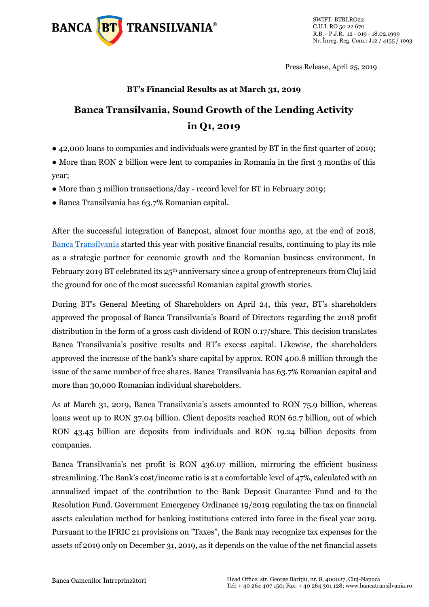

Press Release, April 25, 2019

## **BT's Financial Results as at March 31, 2019**

# **Banca Transilvania, Sound Growth of the Lending Activity in Q1, 2019**

● 42,000 loans to companies and individuals were granted by BT in the first quarter of 2019;

• More than RON 2 billion were lent to companies in Romania in the first 3 months of this year;

- More than 3 million transactions/day record level for BT in February 2019;
- Banca Transilvania has 63.7% Romanian capital.

After the successful integration of Bancpost, almost four months ago, at the end of 2018, [Banca Transilvania](https://www.bancatransilvania.ro/) started this year with positive financial results, continuing to play its role as a strategic partner for economic growth and the Romanian business environment. In February 2019 BT celebrated its 25<sup>th</sup> anniversary since a group of entrepreneurs from Cluj laid the ground for one of the most successful Romanian capital growth stories.

During BT's General Meeting of Shareholders on April 24, this year, BT's shareholders approved the proposal of Banca Transilvania's Board of Directors regarding the 2018 profit distribution in the form of a gross cash dividend of RON 0.17/share. This decision translates Banca Transilvania's positive results and BT's excess capital. Likewise, the shareholders approved the increase of the bank's share capital by approx. RON 400.8 million through the issue of the same number of free shares. Banca Transilvania has 63.7% Romanian capital and more than 30,000 Romanian individual shareholders.

As at March 31, 2019, Banca Transilvania's assets amounted to RON 75.9 billion, whereas loans went up to RON 37.04 billion. Client deposits reached RON 62.7 billion, out of which RON 43.45 billion are deposits from individuals and RON 19.24 billion deposits from companies.

Banca Transilvania's net profit is RON 436.07 million, mirroring the efficient business streamlining. The Bank's cost/income ratio is at a comfortable level of 47%, calculated with an annualized impact of the contribution to the Bank Deposit Guarantee Fund and to the Resolution Fund. Government Emergency Ordinance 19/2019 regulating the tax on financial assets calculation method for banking institutions entered into force in the fiscal year 2019. Pursuant to the IFRIC 21 provisions on "Taxes", the Bank may recognize tax expenses for the assets of 2019 only on December 31, 2019, as it depends on the value of the net financial assets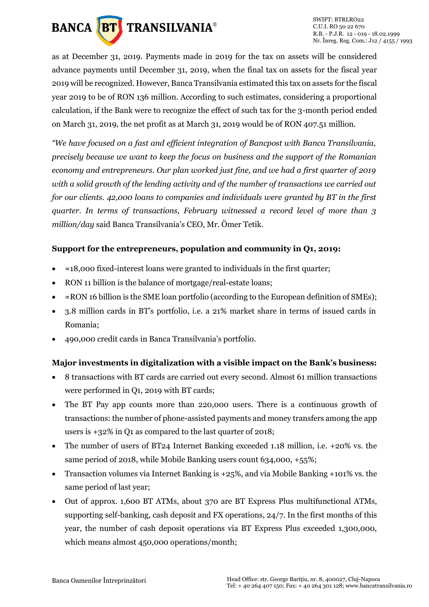

as at December 31, 2019. Payments made in 2019 for the tax on assets will be considered advance payments until December 31, 2019, when the final tax on assets for the fiscal year 2019 will be recognized. However, Banca Transilvania estimated this tax on assets for the fiscal year 2019 to be of RON 136 million. According to such estimates, considering a proportional calculation, if the Bank were to recognize the effect of such tax for the 3-month period ended on March 31, 2019, the net profit as at March 31, 2019 would be of RON 407.51 million.

*"We have focused on a fast and efficient integration of Bancpost with Banca Transilvania, precisely because we want to keep the focus on business and the support of the Romanian economy and entrepreneurs. Our plan worked just fine, and we had a first quarter of 2019 with a solid growth of the lending activity and of the number of transactions we carried out for our clients. 42,000 loans to companies and individuals were granted by BT in the first quarter. In terms of transactions, February witnessed a record level of more than 3 million/day* said Banca Transilvania's CEO, Mr. Ömer Tetik.

# **Support for the entrepreneurs, population and community in Q1, 2019:**

- ≈18,000 fixed-interest loans were granted to individuals in the first quarter;
- RON 11 billion is the balance of mortgage/real-estate loans:
- ≈RON 16 billion is the SME loan portfolio (according to the European definition of SMEs);
- 3.8 million cards in BT's portfolio, i.e. a 21% market share in terms of issued cards in Romania;
- 490,000 credit cards in Banca Transilvania's portfolio.

# **Major investments in digitalization with a visible impact on the Bank's business:**

- 8 transactions with BT cards are carried out every second. Almost 61 million transactions were performed in Q1, 2019 with BT cards;
- The BT Pay app counts more than 220,000 users. There is a continuous growth of transactions: the number of phone-assisted payments and money transfers among the app users is +32% in Q1 as compared to the last quarter of 2018;
- The number of users of BT24 Internet Banking exceeded 1.18 million, i.e. +20% vs. the same period of 2018, while Mobile Banking users count 634,000, +55%;
- Transaction volumes via Internet Banking is +25%, and via Mobile Banking +101% vs. the same period of last year;
- Out of approx. 1,600 BT ATMs, about 370 are BT Express Plus multifunctional ATMs, supporting self-banking, cash deposit and FX operations, 24/7. In the first months of this year, the number of cash deposit operations via BT Express Plus exceeded 1,300,000, which means almost 450,000 operations/month;